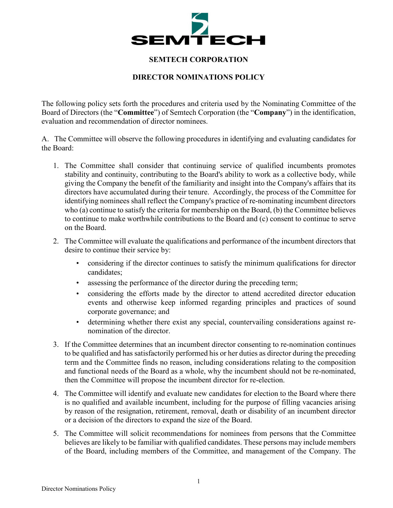

## **SEMTECH CORPORATION**

## **DIRECTOR NOMINATIONS POLICY**

The following policy sets forth the procedures and criteria used by the Nominating Committee of the Board of Directors (the "**Committee**") of Semtech Corporation (the "**Company**") in the identification, evaluation and recommendation of director nominees.

A. The Committee will observe the following procedures in identifying and evaluating candidates for the Board:

- 1. The Committee shall consider that continuing service of qualified incumbents promotes stability and continuity, contributing to the Board's ability to work as a collective body, while giving the Company the benefit of the familiarity and insight into the Company's affairs that its directors have accumulated during their tenure. Accordingly, the process of the Committee for identifying nominees shall reflect the Company's practice of re-nominating incumbent directors who (a) continue to satisfy the criteria for membership on the Board, (b) the Committee believes to continue to make worthwhile contributions to the Board and (c) consent to continue to serve on the Board.
- 2. The Committee will evaluate the qualifications and performance of the incumbent directors that desire to continue their service by:
	- considering if the director continues to satisfy the minimum qualifications for director candidates;
	- assessing the performance of the director during the preceding term;
	- considering the efforts made by the director to attend accredited director education events and otherwise keep informed regarding principles and practices of sound corporate governance; and
	- determining whether there exist any special, countervailing considerations against renomination of the director.
- 3. If the Committee determines that an incumbent director consenting to re-nomination continues to be qualified and has satisfactorily performed his or her duties as director during the preceding term and the Committee finds no reason, including considerations relating to the composition and functional needs of the Board as a whole, why the incumbent should not be re-nominated, then the Committee will propose the incumbent director for re-election.
- 4. The Committee will identify and evaluate new candidates for election to the Board where there is no qualified and available incumbent, including for the purpose of filling vacancies arising by reason of the resignation, retirement, removal, death or disability of an incumbent director or a decision of the directors to expand the size of the Board.
- 5. The Committee will solicit recommendations for nominees from persons that the Committee believes are likely to be familiar with qualified candidates. These persons may include members of the Board, including members of the Committee, and management of the Company. The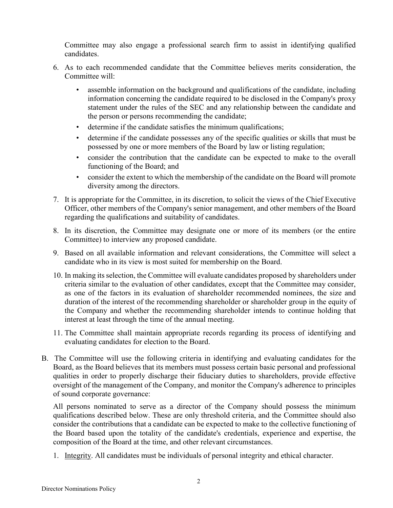Committee may also engage a professional search firm to assist in identifying qualified candidates.

- 6. As to each recommended candidate that the Committee believes merits consideration, the Committee will:
	- assemble information on the background and qualifications of the candidate, including information concerning the candidate required to be disclosed in the Company's proxy statement under the rules of the SEC and any relationship between the candidate and the person or persons recommending the candidate;
	- determine if the candidate satisfies the minimum qualifications;
	- determine if the candidate possesses any of the specific qualities or skills that must be possessed by one or more members of the Board by law or listing regulation;
	- consider the contribution that the candidate can be expected to make to the overall functioning of the Board; and
	- consider the extent to which the membership of the candidate on the Board will promote diversity among the directors.
- 7. It is appropriate for the Committee, in its discretion, to solicit the views of the Chief Executive Officer, other members of the Company's senior management, and other members of the Board regarding the qualifications and suitability of candidates.
- 8. In its discretion, the Committee may designate one or more of its members (or the entire Committee) to interview any proposed candidate.
- 9. Based on all available information and relevant considerations, the Committee will select a candidate who in its view is most suited for membership on the Board.
- 10. In making its selection, the Committee will evaluate candidates proposed by shareholders under criteria similar to the evaluation of other candidates, except that the Committee may consider, as one of the factors in its evaluation of shareholder recommended nominees, the size and duration of the interest of the recommending shareholder or shareholder group in the equity of the Company and whether the recommending shareholder intends to continue holding that interest at least through the time of the annual meeting.
- 11. The Committee shall maintain appropriate records regarding its process of identifying and evaluating candidates for election to the Board.
- B. The Committee will use the following criteria in identifying and evaluating candidates for the Board, as the Board believes that its members must possess certain basic personal and professional qualities in order to properly discharge their fiduciary duties to shareholders, provide effective oversight of the management of the Company, and monitor the Company's adherence to principles of sound corporate governance:

All persons nominated to serve as a director of the Company should possess the minimum qualifications described below. These are only threshold criteria, and the Committee should also consider the contributions that a candidate can be expected to make to the collective functioning of the Board based upon the totality of the candidate's credentials, experience and expertise, the composition of the Board at the time, and other relevant circumstances.

1. Integrity. All candidates must be individuals of personal integrity and ethical character.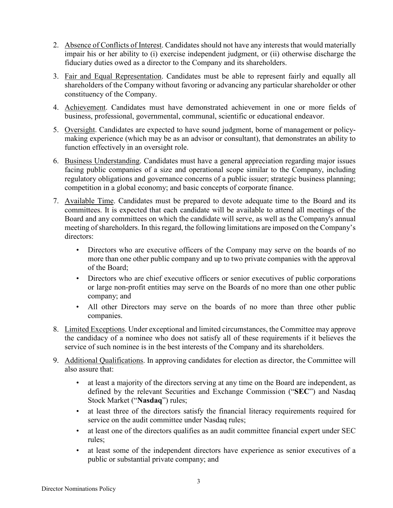- 2. Absence of Conflicts of Interest. Candidates should not have any interests that would materially impair his or her ability to (i) exercise independent judgment, or (ii) otherwise discharge the fiduciary duties owed as a director to the Company and its shareholders.
- 3. Fair and Equal Representation. Candidates must be able to represent fairly and equally all shareholders of the Company without favoring or advancing any particular shareholder or other constituency of the Company.
- 4. Achievement. Candidates must have demonstrated achievement in one or more fields of business, professional, governmental, communal, scientific or educational endeavor.
- 5. Oversight. Candidates are expected to have sound judgment, borne of management or policymaking experience (which may be as an advisor or consultant), that demonstrates an ability to function effectively in an oversight role.
- 6. Business Understanding. Candidates must have a general appreciation regarding major issues facing public companies of a size and operational scope similar to the Company, including regulatory obligations and governance concerns of a public issuer; strategic business planning; competition in a global economy; and basic concepts of corporate finance.
- 7. Available Time. Candidates must be prepared to devote adequate time to the Board and its committees. It is expected that each candidate will be available to attend all meetings of the Board and any committees on which the candidate will serve, as well as the Company's annual meeting of shareholders. In this regard, the following limitations are imposed on the Company's directors:
	- Directors who are executive officers of the Company may serve on the boards of no more than one other public company and up to two private companies with the approval of the Board;
	- Directors who are chief executive officers or senior executives of public corporations or large non-profit entities may serve on the Boards of no more than one other public company; and
	- All other Directors may serve on the boards of no more than three other public companies.
- 8. Limited Exceptions. Under exceptional and limited circumstances, the Committee may approve the candidacy of a nominee who does not satisfy all of these requirements if it believes the service of such nominee is in the best interests of the Company and its shareholders.
- 9. Additional Qualifications. In approving candidates for election as director, the Committee will also assure that:
	- at least a majority of the directors serving at any time on the Board are independent, as defined by the relevant Securities and Exchange Commission ("**SEC**") and Nasdaq Stock Market ("**Nasdaq**") rules;
	- at least three of the directors satisfy the financial literacy requirements required for service on the audit committee under Nasdaq rules;
	- at least one of the directors qualifies as an audit committee financial expert under SEC rules;
	- at least some of the independent directors have experience as senior executives of a public or substantial private company; and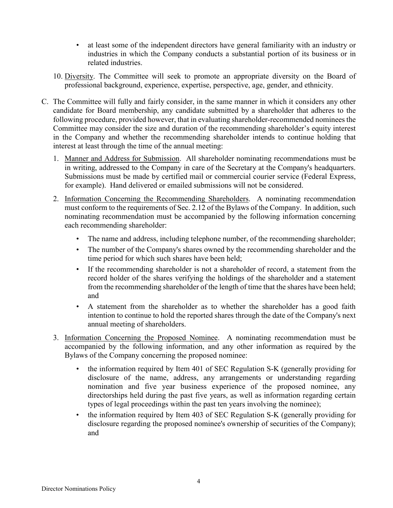- at least some of the independent directors have general familiarity with an industry or industries in which the Company conducts a substantial portion of its business or in related industries.
- 10. Diversity. The Committee will seek to promote an appropriate diversity on the Board of professional background, experience, expertise, perspective, age, gender, and ethnicity.
- C. The Committee will fully and fairly consider, in the same manner in which it considers any other candidate for Board membership, any candidate submitted by a shareholder that adheres to the following procedure, provided however, that in evaluating shareholder-recommended nominees the Committee may consider the size and duration of the recommending shareholder's equity interest in the Company and whether the recommending shareholder intends to continue holding that interest at least through the time of the annual meeting:
	- 1. Manner and Address for Submission. All shareholder nominating recommendations must be in writing, addressed to the Company in care of the Secretary at the Company's headquarters. Submissions must be made by certified mail or commercial courier service (Federal Express, for example). Hand delivered or emailed submissions will not be considered.
	- 2. Information Concerning the Recommending Shareholders. A nominating recommendation must conform to the requirements of Sec. 2.12 of the Bylaws of the Company. In addition, such nominating recommendation must be accompanied by the following information concerning each recommending shareholder:
		- The name and address, including telephone number, of the recommending shareholder;
		- The number of the Company's shares owned by the recommending shareholder and the time period for which such shares have been held;
		- If the recommending shareholder is not a shareholder of record, a statement from the record holder of the shares verifying the holdings of the shareholder and a statement from the recommending shareholder of the length of time that the shares have been held; and
		- A statement from the shareholder as to whether the shareholder has a good faith intention to continue to hold the reported shares through the date of the Company's next annual meeting of shareholders.
	- 3. Information Concerning the Proposed Nominee. A nominating recommendation must be accompanied by the following information, and any other information as required by the Bylaws of the Company concerning the proposed nominee:
		- the information required by Item 401 of SEC Regulation S-K (generally providing for disclosure of the name, address, any arrangements or understanding regarding nomination and five year business experience of the proposed nominee, any directorships held during the past five years, as well as information regarding certain types of legal proceedings within the past ten years involving the nominee);
		- the information required by Item 403 of SEC Regulation S-K (generally providing for disclosure regarding the proposed nominee's ownership of securities of the Company); and